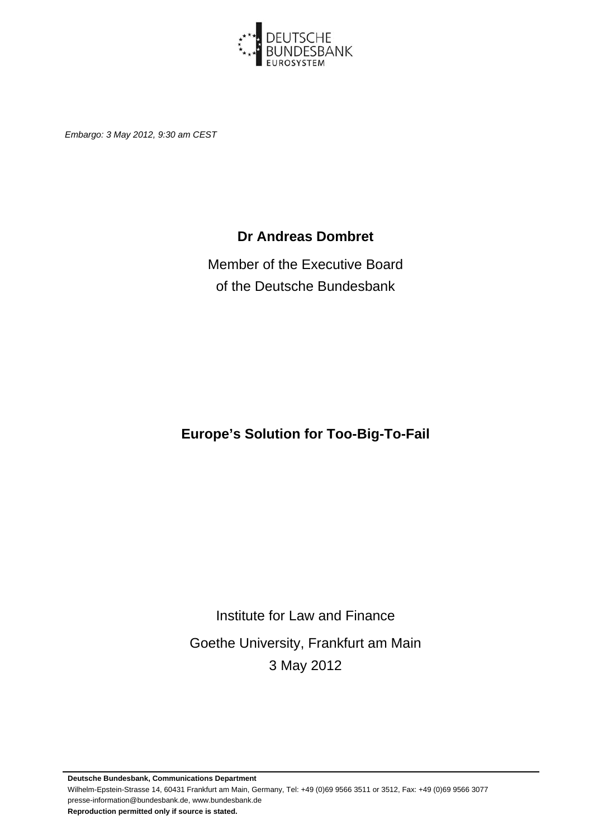

*Embargo: 3 May 2012, 9:30 am CEST* 

#### **Dr Andreas Dombret**

Member of the Executive Board of the Deutsche Bundesbank

**Europe's Solution for Too-Big-To-Fail** 

Institute for Law and Finance Goethe University, Frankfurt am Main 3 May 2012

**Deutsche Bundesbank, Communications Department**  Wilhelm-Epstein-Strasse 14, 60431 Frankfurt am Main, Germany, Tel: +49 (0)69 9566 3511 or 3512, Fax: +49 (0)69 9566 3077 presse-information@bundesbank.de, www.bundesbank.de **Reproduction permitted only if source is stated.**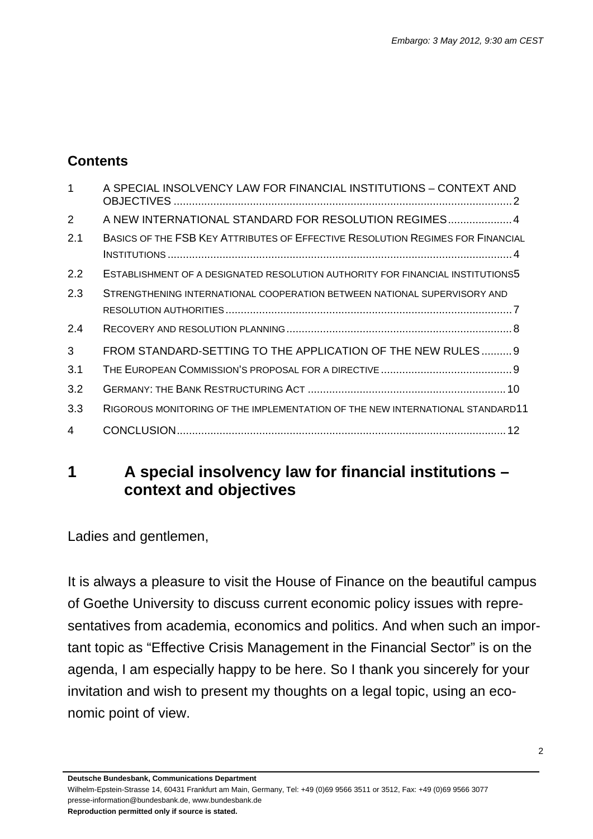#### **Contents**

| $\mathbf 1$ | A SPECIAL INSOLVENCY LAW FOR FINANCIAL INSTITUTIONS - CONTEXT AND              |
|-------------|--------------------------------------------------------------------------------|
| 2           | A NEW INTERNATIONAL STANDARD FOR RESOLUTION REGIMES 4                          |
| 2.1         | BASICS OF THE FSB KEY ATTRIBUTES OF EFFECTIVE RESOLUTION REGIMES FOR FINANCIAL |
| 2.2         | ESTABLISHMENT OF A DESIGNATED RESOLUTION AUTHORITY FOR FINANCIAL INSTITUTIONS5 |
| 2.3         | STRENGTHENING INTERNATIONAL COOPERATION BETWEEN NATIONAL SUPERVISORY AND       |
|             |                                                                                |
| 2.4         |                                                                                |
| 3           | FROM STANDARD-SETTING TO THE APPLICATION OF THE NEW RULES 9                    |
| 3.1         |                                                                                |
| 3.2         |                                                                                |
| 3.3         | RIGOROUS MONITORING OF THE IMPLEMENTATION OF THE NEW INTERNATIONAL STANDARD11  |
| 4           |                                                                                |

#### **1 A special insolvency law for financial institutions – context and objectives**

Ladies and gentlemen,

It is always a pleasure to visit the House of Finance on the beautiful campus of Goethe University to discuss current economic policy issues with representatives from academia, economics and politics. And when such an important topic as "Effective Crisis Management in the Financial Sector" is on the agenda, I am especially happy to be here. So I thank you sincerely for your invitation and wish to present my thoughts on a legal topic, using an economic point of view.

**Deutsche Bundesbank, Communications Department** 

Wilhelm-Epstein-Strasse 14, 60431 Frankfurt am Main, Germany, Tel: +49 (0)69 9566 3511 or 3512, Fax: +49 (0)69 9566 3077 presse-information@bundesbank.de, www.bundesbank.de **Reproduction permitted only if source is stated.**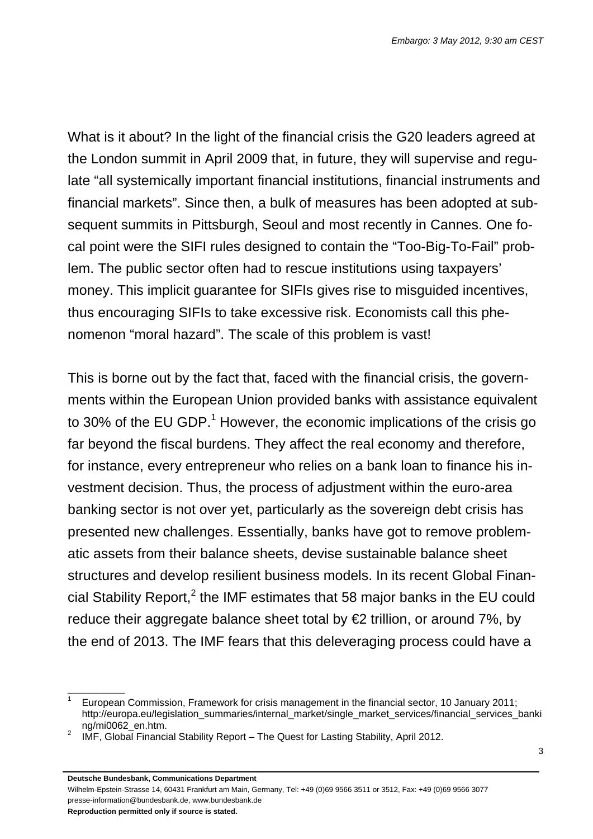What is it about? In the light of the financial crisis the G20 leaders agreed at the London summit in April 2009 that, in future, they will supervise and regulate "all systemically important financial institutions, financial instruments and financial markets". Since then, a bulk of measures has been adopted at subsequent summits in Pittsburgh, Seoul and most recently in Cannes. One focal point were the SIFI rules designed to contain the "Too-Big-To-Fail" problem. The public sector often had to rescue institutions using taxpayers' money. This implicit guarantee for SIFIs gives rise to misguided incentives, thus encouraging SIFIs to take excessive risk. Economists call this phenomenon "moral hazard". The scale of this problem is vast!

This is borne out by the fact that, faced with the financial crisis, the governments within the European Union provided banks with assistance equivalent to 30% of the EU GDP.<sup>1</sup> However, the economic implications of the crisis go far beyond the fiscal burdens. They affect the real economy and therefore, for instance, every entrepreneur who relies on a bank loan to finance his investment decision. Thus, the process of adjustment within the euro-area banking sector is not over yet, particularly as the sovereign debt crisis has presented new challenges. Essentially, banks have got to remove problematic assets from their balance sheets, devise sustainable balance sheet structures and develop resilient business models. In its recent Global Financial Stability Report,<sup>2</sup> the IMF estimates that 58 major banks in the EU could reduce their aggregate balance sheet total by  $\epsilon$  trillion, or around 7%, by the end of 2013. The IMF fears that this deleveraging process could have a

Wilhelm-Epstein-Strasse 14, 60431 Frankfurt am Main, Germany, Tel: +49 (0)69 9566 3511 or 3512, Fax: +49 (0)69 9566 3077 presse-information@bundesbank.de, www.bundesbank.de

\_\_\_\_\_\_\_\_\_\_\_\_\_

<sup>1</sup> European Commission, Framework for crisis management in the financial sector, 10 January 2011; http://europa.eu/legislation\_summaries/internal\_market/single\_market\_services/financial\_services\_banki ng/mi0062\_en.htm.

IMF, Global Financial Stability Report – The Quest for Lasting Stability, April 2012.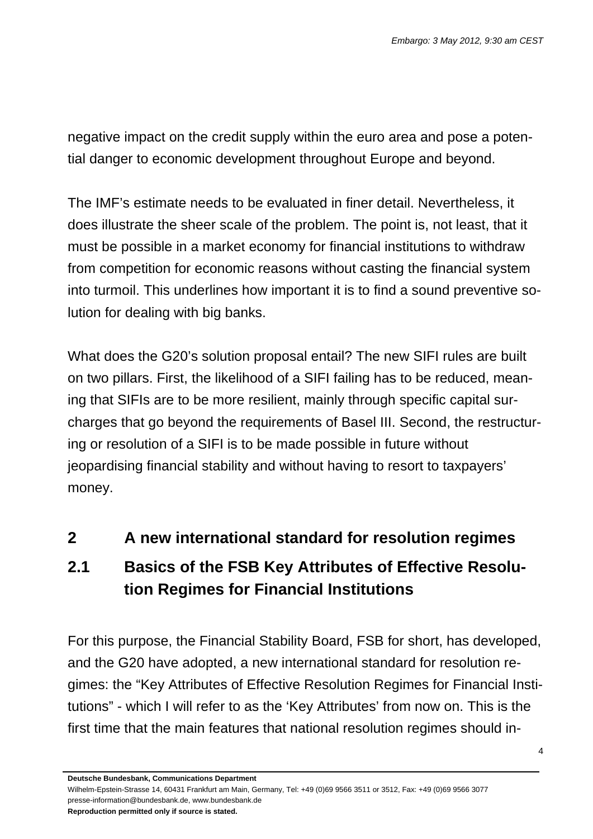negative impact on the credit supply within the euro area and pose a potential danger to economic development throughout Europe and beyond.

The IMF's estimate needs to be evaluated in finer detail. Nevertheless, it does illustrate the sheer scale of the problem. The point is, not least, that it must be possible in a market economy for financial institutions to withdraw from competition for economic reasons without casting the financial system into turmoil. This underlines how important it is to find a sound preventive solution for dealing with big banks.

What does the G20's solution proposal entail? The new SIFI rules are built on two pillars. First, the likelihood of a SIFI failing has to be reduced, meaning that SIFIs are to be more resilient, mainly through specific capital surcharges that go beyond the requirements of Basel III. Second, the restructuring or resolution of a SIFI is to be made possible in future without jeopardising financial stability and without having to resort to taxpayers' money.

## **2 A new international standard for resolution regimes**

## **2.1 Basics of the FSB Key Attributes of Effective Resolution Regimes for Financial Institutions**

For this purpose, the Financial Stability Board, FSB for short, has developed, and the G20 have adopted, a new international standard for resolution regimes: the "Key Attributes of Effective Resolution Regimes for Financial Institutions" - which I will refer to as the 'Key Attributes' from now on. This is the first time that the main features that national resolution regimes should in-

**Deutsche Bundesbank, Communications Department** 

Wilhelm-Epstein-Strasse 14, 60431 Frankfurt am Main, Germany, Tel: +49 (0)69 9566 3511 or 3512, Fax: +49 (0)69 9566 3077 presse-information@bundesbank.de, www.bundesbank.de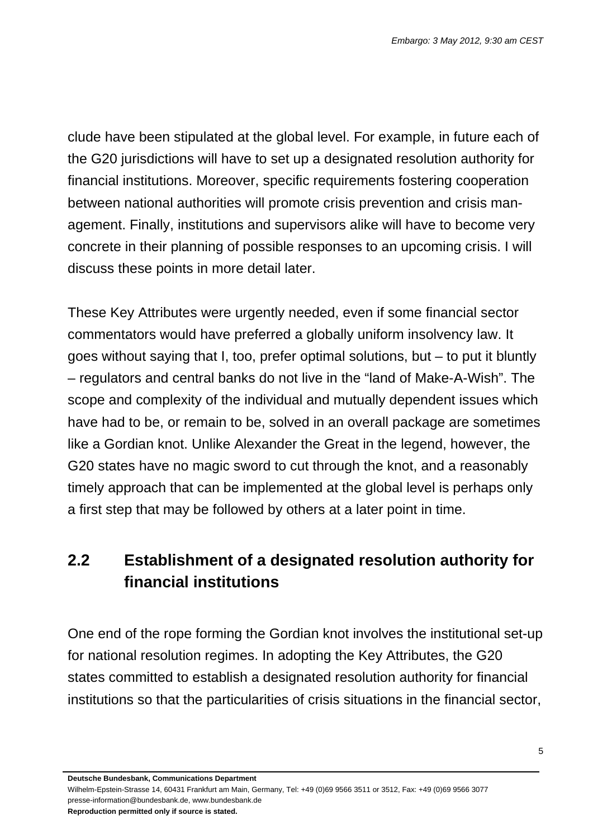clude have been stipulated at the global level. For example, in future each of the G20 jurisdictions will have to set up a designated resolution authority for financial institutions. Moreover, specific requirements fostering cooperation between national authorities will promote crisis prevention and crisis management. Finally, institutions and supervisors alike will have to become very concrete in their planning of possible responses to an upcoming crisis. I will discuss these points in more detail later.

These Key Attributes were urgently needed, even if some financial sector commentators would have preferred a globally uniform insolvency law. It goes without saying that I, too, prefer optimal solutions, but – to put it bluntly – regulators and central banks do not live in the "land of Make-A-Wish". The scope and complexity of the individual and mutually dependent issues which have had to be, or remain to be, solved in an overall package are sometimes like a Gordian knot. Unlike Alexander the Great in the legend, however, the G20 states have no magic sword to cut through the knot, and a reasonably timely approach that can be implemented at the global level is perhaps only a first step that may be followed by others at a later point in time.

## **2.2 Establishment of a designated resolution authority for financial institutions**

One end of the rope forming the Gordian knot involves the institutional set-up for national resolution regimes. In adopting the Key Attributes, the G20 states committed to establish a designated resolution authority for financial institutions so that the particularities of crisis situations in the financial sector,

**Deutsche Bundesbank, Communications Department** 

Wilhelm-Epstein-Strasse 14, 60431 Frankfurt am Main, Germany, Tel: +49 (0)69 9566 3511 or 3512, Fax: +49 (0)69 9566 3077 presse-information@bundesbank.de, www.bundesbank.de

**Reproduction permitted only if source is stated.**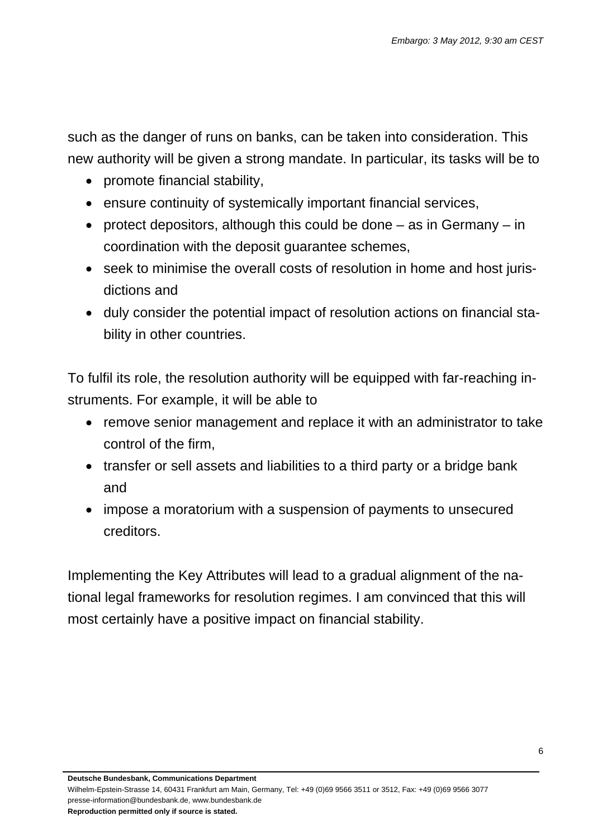such as the danger of runs on banks, can be taken into consideration. This new authority will be given a strong mandate. In particular, its tasks will be to

- promote financial stability,
- ensure continuity of systemically important financial services,
- protect depositors, although this could be done  $-$  as in Germany  $-$  in coordination with the deposit guarantee schemes,
- seek to minimise the overall costs of resolution in home and host jurisdictions and
- duly consider the potential impact of resolution actions on financial stability in other countries.

To fulfil its role, the resolution authority will be equipped with far-reaching instruments. For example, it will be able to

- remove senior management and replace it with an administrator to take control of the firm,
- transfer or sell assets and liabilities to a third party or a bridge bank and
- impose a moratorium with a suspension of payments to unsecured creditors.

Implementing the Key Attributes will lead to a gradual alignment of the national legal frameworks for resolution regimes. I am convinced that this will most certainly have a positive impact on financial stability.

**Deutsche Bundesbank, Communications Department** 

Wilhelm-Epstein-Strasse 14, 60431 Frankfurt am Main, Germany, Tel: +49 (0)69 9566 3511 or 3512, Fax: +49 (0)69 9566 3077 presse-information@bundesbank.de, www.bundesbank.de **Reproduction permitted only if source is stated.**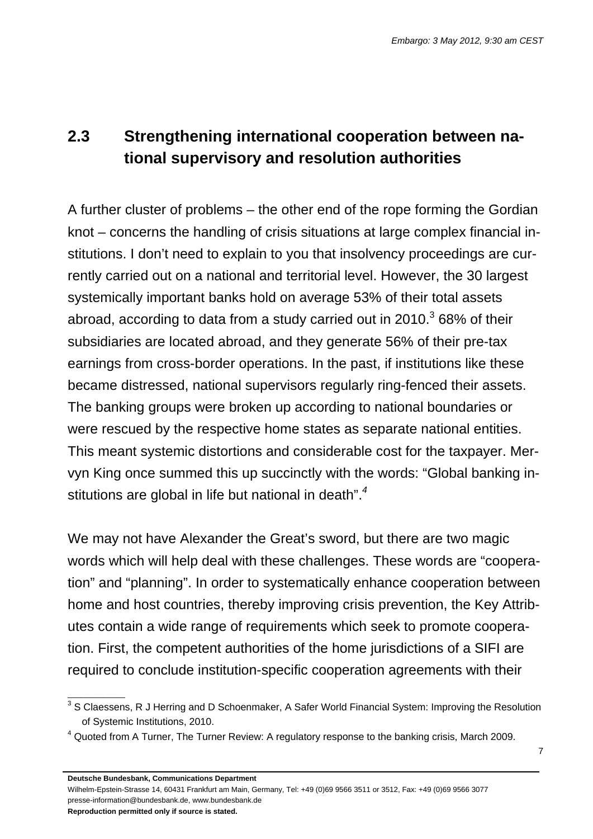# **2.3 Strengthening international cooperation between national supervisory and resolution authorities**

A further cluster of problems – the other end of the rope forming the Gordian knot – concerns the handling of crisis situations at large complex financial institutions. I don't need to explain to you that insolvency proceedings are currently carried out on a national and territorial level. However, the 30 largest systemically important banks hold on average 53% of their total assets abroad, according to data from a study carried out in 2010. $3$  68% of their subsidiaries are located abroad, and they generate 56% of their pre-tax earnings from cross-border operations. In the past, if institutions like these became distressed, national supervisors regularly ring-fenced their assets. The banking groups were broken up according to national boundaries or were rescued by the respective home states as separate national entities. This meant systemic distortions and considerable cost for the taxpayer. Mervyn King once summed this up succinctly with the words: "Global banking institutions are global in life but national in death".*<sup>4</sup>*

We may not have Alexander the Great's sword, but there are two magic words which will help deal with these challenges. These words are "cooperation" and "planning". In order to systematically enhance cooperation between home and host countries, thereby improving crisis prevention, the Key Attributes contain a wide range of requirements which seek to promote cooperation. First, the competent authorities of the home jurisdictions of a SIFI are required to conclude institution-specific cooperation agreements with their

**Deutsche Bundesbank, Communications Department** 

Wilhelm-Epstein-Strasse 14, 60431 Frankfurt am Main, Germany, Tel: +49 (0)69 9566 3511 or 3512, Fax: +49 (0)69 9566 3077 presse-information@bundesbank.de, www.bundesbank.de

**Reproduction permitted only if source is stated.** 

 $\overline{\phantom{a}}$  , where  $\overline{\phantom{a}}$ 

 $3$  S Claessens, R J Herring and D Schoenmaker, A Safer World Financial System: Improving the Resolution of Systemic Institutions, 2010.

 $4$  Quoted from A Turner, The Turner Review: A regulatory response to the banking crisis, March 2009.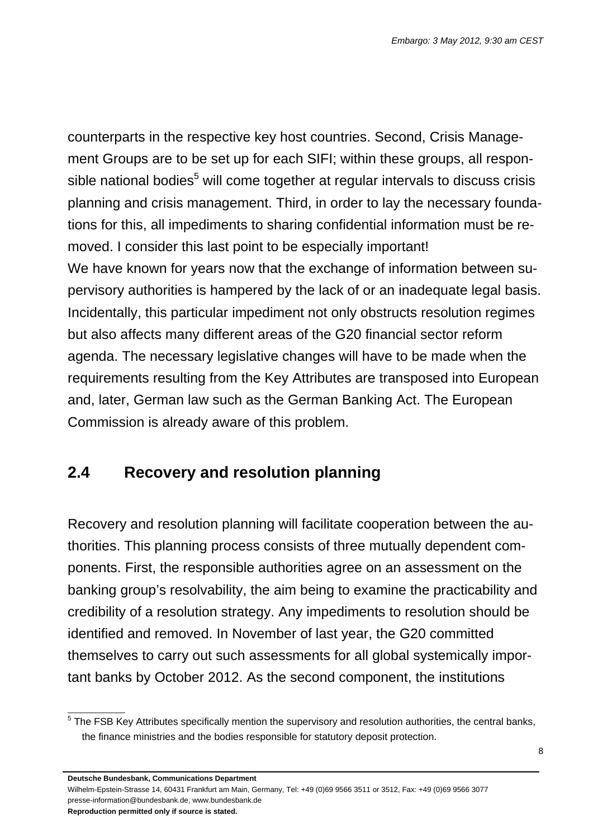counterparts in the respective key host countries. Second, Crisis Management Groups are to be set up for each SIFI; within these groups, all responsible national bodies<sup>5</sup> will come together at regular intervals to discuss crisis planning and crisis management. Third, in order to lay the necessary foundations for this, all impediments to sharing confidential information must be removed. I consider this last point to be especially important! We have known for years now that the exchange of information between supervisory authorities is hampered by the lack of or an inadequate legal basis. Incidentally, this particular impediment not only obstructs resolution regimes but also affects many different areas of the G20 financial sector reform agenda. The necessary legislative changes will have to be made when the requirements resulting from the Key Attributes are transposed into European and, later, German law such as the German Banking Act. The European Commission is already aware of this problem.

## **2.4 Recovery and resolution planning**

Recovery and resolution planning will facilitate cooperation between the authorities. This planning process consists of three mutually dependent components. First, the responsible authorities agree on an assessment on the banking group's resolvability, the aim being to examine the practicability and credibility of a resolution strategy. Any impediments to resolution should be identified and removed. In November of last year, the G20 committed themselves to carry out such assessments for all global systemically important banks by October 2012. As the second component, the institutions

**Deutsche Bundesbank, Communications Department** 

Wilhelm-Epstein-Strasse 14, 60431 Frankfurt am Main, Germany, Tel: +49 (0)69 9566 3511 or 3512, Fax: +49 (0)69 9566 3077 presse-information@bundesbank.de, www.bundesbank.de

**Reproduction permitted only if source is stated.** 

\_\_\_\_\_\_\_\_\_\_\_\_\_

<sup>&</sup>lt;sup>5</sup> The FSB Key Attributes specifically mention the supervisory and resolution authorities, the central banks, the finance ministries and the bodies responsible for statutory deposit protection.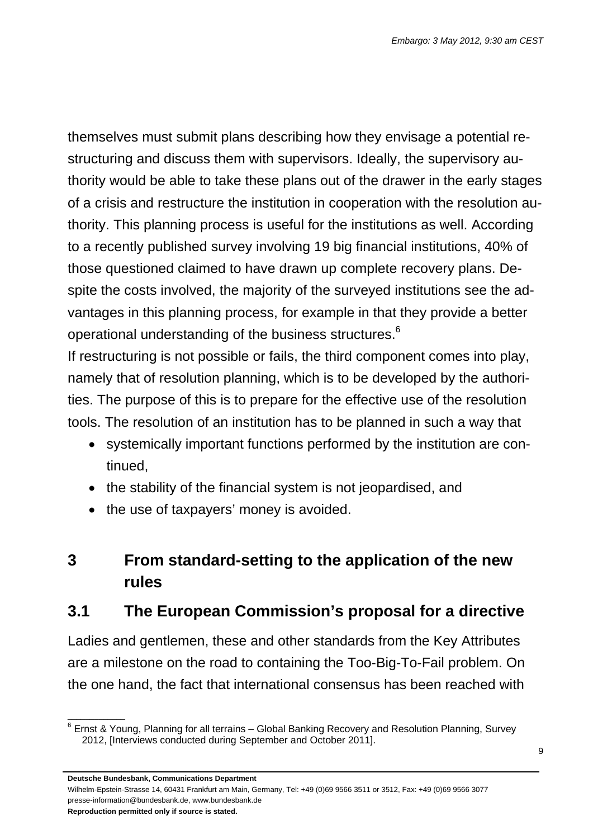themselves must submit plans describing how they envisage a potential restructuring and discuss them with supervisors. Ideally, the supervisory authority would be able to take these plans out of the drawer in the early stages of a crisis and restructure the institution in cooperation with the resolution authority. This planning process is useful for the institutions as well. According to a recently published survey involving 19 big financial institutions, 40% of those questioned claimed to have drawn up complete recovery plans. Despite the costs involved, the majority of the surveyed institutions see the advantages in this planning process, for example in that they provide a better operational understanding of the business structures. $6$ 

If restructuring is not possible or fails, the third component comes into play, namely that of resolution planning, which is to be developed by the authorities. The purpose of this is to prepare for the effective use of the resolution tools. The resolution of an institution has to be planned in such a way that

- systemically important functions performed by the institution are continued,
- the stability of the financial system is not jeopardised, and
- the use of taxpayers' money is avoided.

# **3 From standard-setting to the application of the new rules**

## **3.1 The European Commission's proposal for a directive**

Ladies and gentlemen, these and other standards from the Key Attributes are a milestone on the road to containing the Too-Big-To-Fail problem. On the one hand, the fact that international consensus has been reached with

**Deutsche Bundesbank, Communications Department** 

Wilhelm-Epstein-Strasse 14, 60431 Frankfurt am Main, Germany, Tel: +49 (0)69 9566 3511 or 3512, Fax: +49 (0)69 9566 3077 presse-information@bundesbank.de, www.bundesbank.de

**Reproduction permitted only if source is stated.** 

\_\_\_\_\_\_\_\_\_\_\_\_\_

 $6$  Ernst & Young, Planning for all terrains – Global Banking Recovery and Resolution Planning, Survey 2012, [Interviews conducted during September and October 2011].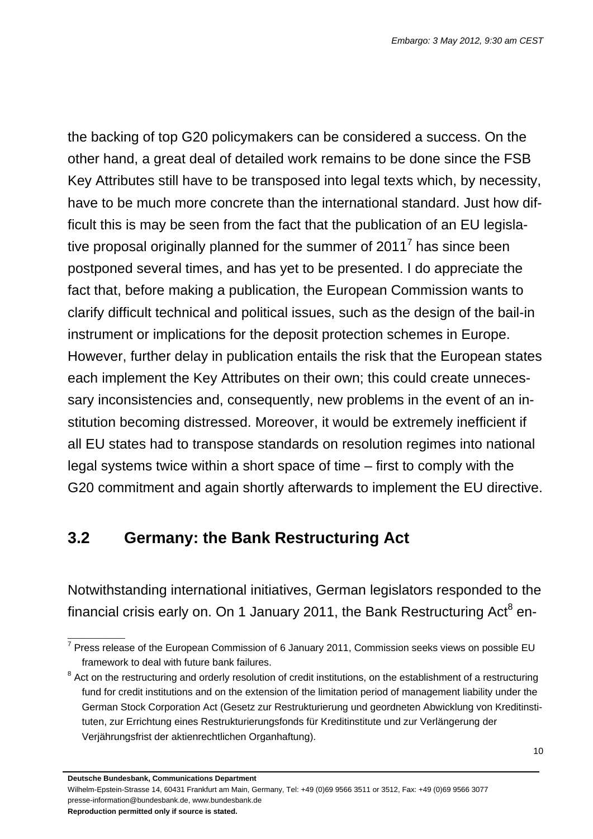the backing of top G20 policymakers can be considered a success. On the other hand, a great deal of detailed work remains to be done since the FSB Key Attributes still have to be transposed into legal texts which, by necessity, have to be much more concrete than the international standard. Just how difficult this is may be seen from the fact that the publication of an EU legislative proposal originally planned for the summer of 2011<sup>7</sup> has since been postponed several times, and has yet to be presented. I do appreciate the fact that, before making a publication, the European Commission wants to clarify difficult technical and political issues, such as the design of the bail-in instrument or implications for the deposit protection schemes in Europe. However, further delay in publication entails the risk that the European states each implement the Key Attributes on their own; this could create unnecessary inconsistencies and, consequently, new problems in the event of an institution becoming distressed. Moreover, it would be extremely inefficient if all EU states had to transpose standards on resolution regimes into national legal systems twice within a short space of time – first to comply with the G20 commitment and again shortly afterwards to implement the EU directive.

## **3.2 Germany: the Bank Restructuring Act**

Notwithstanding international initiatives, German legislators responded to the financial crisis early on. On 1 January 2011, the Bank Restructuring Act $^8$  en-

Wilhelm-Epstein-Strasse 14, 60431 Frankfurt am Main, Germany, Tel: +49 (0)69 9566 3511 or 3512, Fax: +49 (0)69 9566 3077 presse-information@bundesbank.de, www.bundesbank.de

**Reproduction permitted only if source is stated.** 

 $\overline{\phantom{a}}$  , where  $\overline{\phantom{a}}$ 

<sup>&</sup>lt;sup>7</sup> Press release of the European Commission of 6 January 2011, Commission seeks views on possible EU framework to deal with future bank failures.

 $8$  Act on the restructuring and orderly resolution of credit institutions, on the establishment of a restructuring fund for credit institutions and on the extension of the limitation period of management liability under the German Stock Corporation Act (Gesetz zur Restrukturierung und geordneten Abwicklung von Kreditinstituten, zur Errichtung eines Restrukturierungsfonds für Kreditinstitute und zur Verlängerung der Verjährungsfrist der aktienrechtlichen Organhaftung).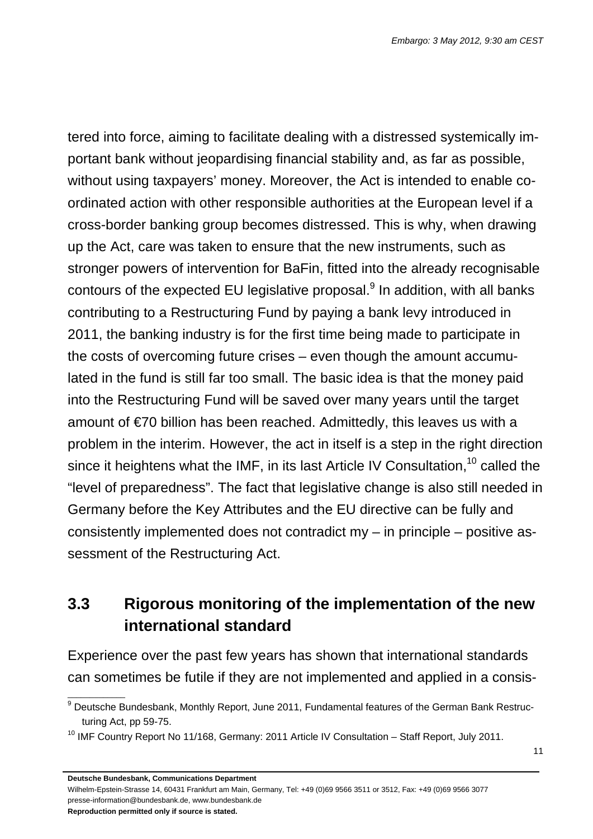tered into force, aiming to facilitate dealing with a distressed systemically important bank without jeopardising financial stability and, as far as possible, without using taxpayers' money. Moreover, the Act is intended to enable coordinated action with other responsible authorities at the European level if a cross-border banking group becomes distressed. This is why, when drawing up the Act, care was taken to ensure that the new instruments, such as stronger powers of intervention for BaFin, fitted into the already recognisable contours of the expected EU legislative proposal. $9$  In addition, with all banks contributing to a Restructuring Fund by paying a bank levy introduced in 2011, the banking industry is for the first time being made to participate in the costs of overcoming future crises – even though the amount accumulated in the fund is still far too small. The basic idea is that the money paid into the Restructuring Fund will be saved over many years until the target amount of €70 billion has been reached. Admittedly, this leaves us with a problem in the interim. However, the act in itself is a step in the right direction since it heightens what the IMF, in its last Article IV Consultation,<sup>10</sup> called the "level of preparedness". The fact that legislative change is also still needed in Germany before the Key Attributes and the EU directive can be fully and consistently implemented does not contradict my – in principle – positive assessment of the Restructuring Act.

## **3.3 Rigorous monitoring of the implementation of the new international standard**

Experience over the past few years has shown that international standards can sometimes be futile if they are not implemented and applied in a consis-

Wilhelm-Epstein-Strasse 14, 60431 Frankfurt am Main, Germany, Tel: +49 (0)69 9566 3511 or 3512, Fax: +49 (0)69 9566 3077 presse-information@bundesbank.de, www.bundesbank.de

**Reproduction permitted only if source is stated.** 

 $\overline{\phantom{a}}$  , where  $\overline{\phantom{a}}$ 

<sup>&</sup>lt;sup>9</sup> Deutsche Bundesbank, Monthly Report, June 2011, Fundamental features of the German Bank Restructuring Act, pp 59-75.

<sup>&</sup>lt;sup>10</sup> IMF Country Report No 11/168, Germany: 2011 Article IV Consultation - Staff Report, July 2011.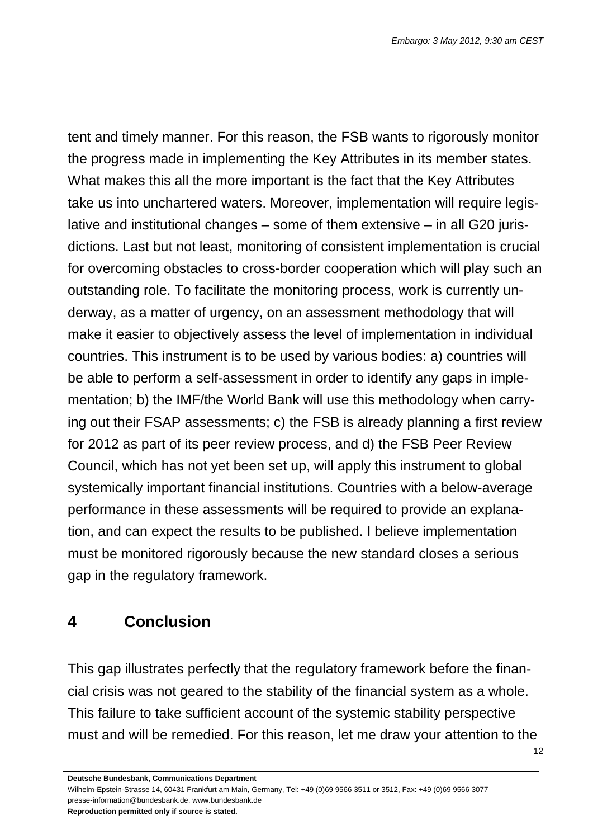tent and timely manner. For this reason, the FSB wants to rigorously monitor the progress made in implementing the Key Attributes in its member states. What makes this all the more important is the fact that the Key Attributes take us into unchartered waters. Moreover, implementation will require legislative and institutional changes – some of them extensive – in all G20 jurisdictions. Last but not least, monitoring of consistent implementation is crucial for overcoming obstacles to cross-border cooperation which will play such an outstanding role. To facilitate the monitoring process, work is currently underway, as a matter of urgency, on an assessment methodology that will make it easier to objectively assess the level of implementation in individual countries. This instrument is to be used by various bodies: a) countries will be able to perform a self-assessment in order to identify any gaps in implementation; b) the IMF/the World Bank will use this methodology when carrying out their FSAP assessments; c) the FSB is already planning a first review for 2012 as part of its peer review process, and d) the FSB Peer Review Council, which has not yet been set up, will apply this instrument to global systemically important financial institutions. Countries with a below-average performance in these assessments will be required to provide an explanation, and can expect the results to be published. I believe implementation must be monitored rigorously because the new standard closes a serious gap in the regulatory framework.

## **4 Conclusion**

This gap illustrates perfectly that the regulatory framework before the financial crisis was not geared to the stability of the financial system as a whole. This failure to take sufficient account of the systemic stability perspective must and will be remedied. For this reason, let me draw your attention to the

Wilhelm-Epstein-Strasse 14, 60431 Frankfurt am Main, Germany, Tel: +49 (0)69 9566 3511 or 3512, Fax: +49 (0)69 9566 3077 presse-information@bundesbank.de, www.bundesbank.de

**Reproduction permitted only if source is stated.**